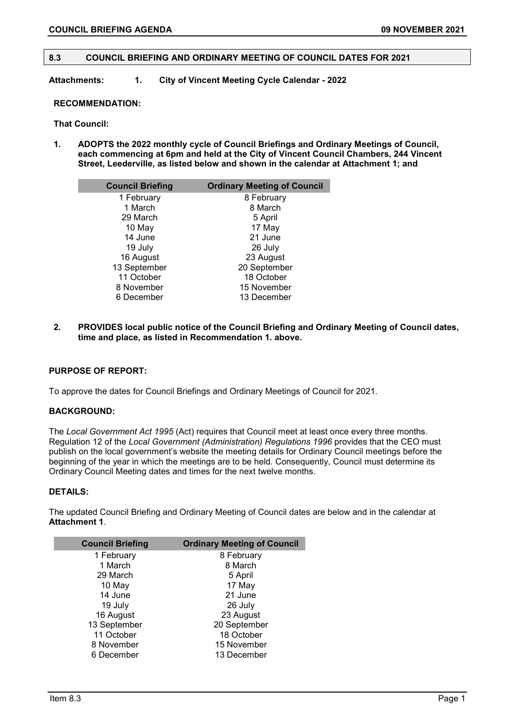## **8.3 COUNCIL BRIEFING AND ORDINARY MEETING OF COUNCIL DATES FOR 2021**

**Attachments: 1. City of Vincent Meeting Cycle Calendar - 2022** 

### **RECOMMENDATION:**

#### **That Council:**

**1. ADOPTS the 2022 monthly cycle of Council Briefings and Ordinary Meetings of Council, each commencing at 6pm and held at the City of Vincent Council Chambers, 244 Vincent Street, Leederville, as listed below and shown in the calendar at Attachment 1; and**

| <b>Council Briefing</b> | <b>Ordinary Meeting of Council</b> |  |  |  |
|-------------------------|------------------------------------|--|--|--|
| 1 February              | 8 February                         |  |  |  |
| 1 March                 | 8 March                            |  |  |  |
| 29 March                | 5 April                            |  |  |  |
| 10 May                  | 17 May                             |  |  |  |
| 14 June                 | 21 June                            |  |  |  |
| 19 July                 | 26 July                            |  |  |  |
| 16 August               | 23 August                          |  |  |  |
| 13 September            | 20 September                       |  |  |  |
| 11 October              | 18 October                         |  |  |  |
| 8 November              | 15 November                        |  |  |  |
| 6 December              | 13 December                        |  |  |  |

**2. PROVIDES local public notice of the Council Briefing and Ordinary Meeting of Council dates, time and place, as listed in Recommendation 1. above.**

### **PURPOSE OF REPORT:**

To approve the dates for Council Briefings and Ordinary Meetings of Council for 2021.

## **BACKGROUND:**

The *Local Government Act 1995* (Act) requires that Council meet at least once every three months. Regulation 12 of the *Local Government (Administration) Regulations 1996* provides that the CEO must publish on the local government's website the meeting details for Ordinary Council meetings before the beginning of the year in which the meetings are to be held. Consequently, Council must determine its Ordinary Council Meeting dates and times for the next twelve months.

# **DETAILS:**

The updated Council Briefing and Ordinary Meeting of Council dates are below and in the calendar at **Attachment 1**.

| <b>Council Briefing</b> | <b>Ordinary Meeting of Council</b> |  |  |
|-------------------------|------------------------------------|--|--|
| 1 February              | 8 February                         |  |  |
| 1 March                 | 8 March                            |  |  |
| 29 March                | 5 April                            |  |  |
| 10 May                  | 17 May                             |  |  |
| 14 June                 | 21 June                            |  |  |
| 19 July                 | 26 July                            |  |  |
| 16 August               | 23 August                          |  |  |
| 13 September            | 20 September                       |  |  |
| 11 October              | 18 October                         |  |  |
| 8 November              | 15 November                        |  |  |
| 6 December              | 13 December                        |  |  |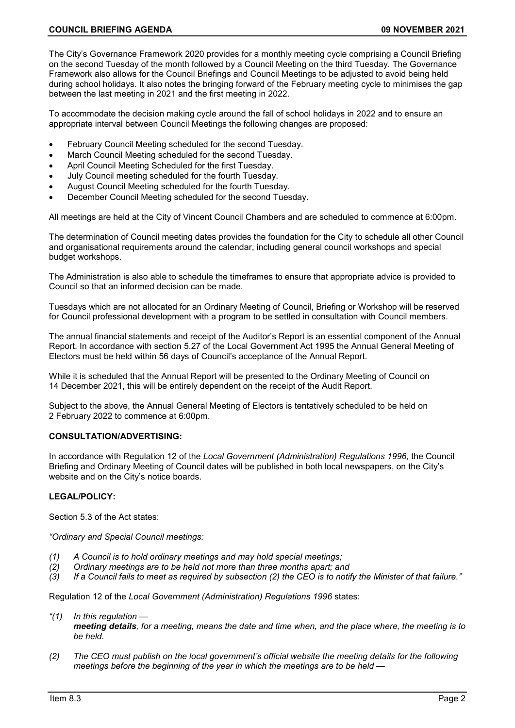The City's Governance Framework 2020 provides for a monthly meeting cycle comprising a Council Briefing on the second Tuesday of the month followed by a Council Meeting on the third Tuesday. The Governance Framework also allows for the Council Briefings and Council Meetings to be adjusted to avoid being held during school holidays. It also notes the bringing forward of the February meeting cycle to minimises the gap between the last meeting in 2021 and the first meeting in 2022.

To accommodate the decision making cycle around the fall of school holidays in 2022 and to ensure an appropriate interval between Council Meetings the following changes are proposed:

- February Council Meeting scheduled for the second Tuesday.
- March Council Meeting scheduled for the second Tuesday.
- April Council Meeting Scheduled for the first Tuesday.
- July Council meeting scheduled for the fourth Tuesday.
- August Council Meeting scheduled for the fourth Tuesday.
- December Council Meeting scheduled for the second Tuesday.

All meetings are held at the City of Vincent Council Chambers and are scheduled to commence at 6:00pm.

The determination of Council meeting dates provides the foundation for the City to schedule all other Council and organisational requirements around the calendar, including general council workshops and special budget workshops.

The Administration is also able to schedule the timeframes to ensure that appropriate advice is provided to Council so that an informed decision can be made.

Tuesdays which are not allocated for an Ordinary Meeting of Council, Briefing or Workshop will be reserved for Council professional development with a program to be settled in consultation with Council members.

The annual financial statements and receipt of the Auditor's Report is an essential component of the Annual Report. In accordance with section 5.27 of the Local Government Act 1995 the Annual General Meeting of Electors must be held within 56 days of Council's acceptance of the Annual Report.

While it is scheduled that the Annual Report will be presented to the Ordinary Meeting of Council on 14 December 2021, this will be entirely dependent on the receipt of the Audit Report.

Subject to the above, the Annual General Meeting of Electors is tentatively scheduled to be held on 2 February 2022 to commence at 6:00pm.

### **CONSULTATION/ADVERTISING:**

In accordance with Regulation 12 of the *Local Government (Administration) Regulations 1996,* the Council Briefing and Ordinary Meeting of Council dates will be published in both local newspapers, on the City's website and on the City's notice boards.

## **LEGAL/POLICY:**

Section 5.3 of the Act states:

*"Ordinary and Special Council meetings:*

- *(1) A Council is to hold ordinary meetings and may hold special meetings;*
- *(2) Ordinary meetings are to be held not more than three months apart; and*
- *(3) If a Council fails to meet as required by subsection (2) the CEO is to notify the Minister of that failure."*

Regulation 12 of the *Local Government (Administration) Regulations 1996* states:

- *"(1) In this regulation meeting details, for a meeting, means the date and time when, and the place where, the meeting is to be held.*
- *(2) The CEO must publish on the local government's official website the meeting details for the following meetings before the beginning of the year in which the meetings are to be held —*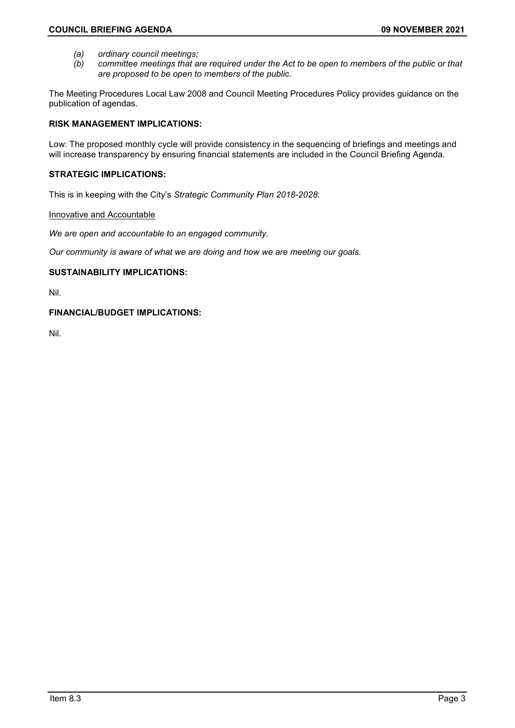- 
- *(a) ordinary council meetings; (b) committee meetings that are required under the Act to be open to members of the public or that are proposed to be open to members of the public.*

The Meeting Procedures Local Law 2008 and Council Meeting Procedures Policy provides guidance on the publication of agendas.

# **RISK MANAGEMENT IMPLICATIONS:**

Low: The proposed monthly cycle will provide consistency in the sequencing of briefings and meetings and will increase transparency by ensuring financial statements are included in the Council Briefing Agenda.

# **STRATEGIC IMPLICATIONS:**

This is in keeping with the City's *Strategic Community Plan 2018-2028*:

# Innovative and Accountable

*We are open and accountable to an engaged community.*

*Our community is aware of what we are doing and how we are meeting our goals.*

# **SUSTAINABILITY IMPLICATIONS:**

Nil.

# **FINANCIAL/BUDGET IMPLICATIONS:**

Nil.